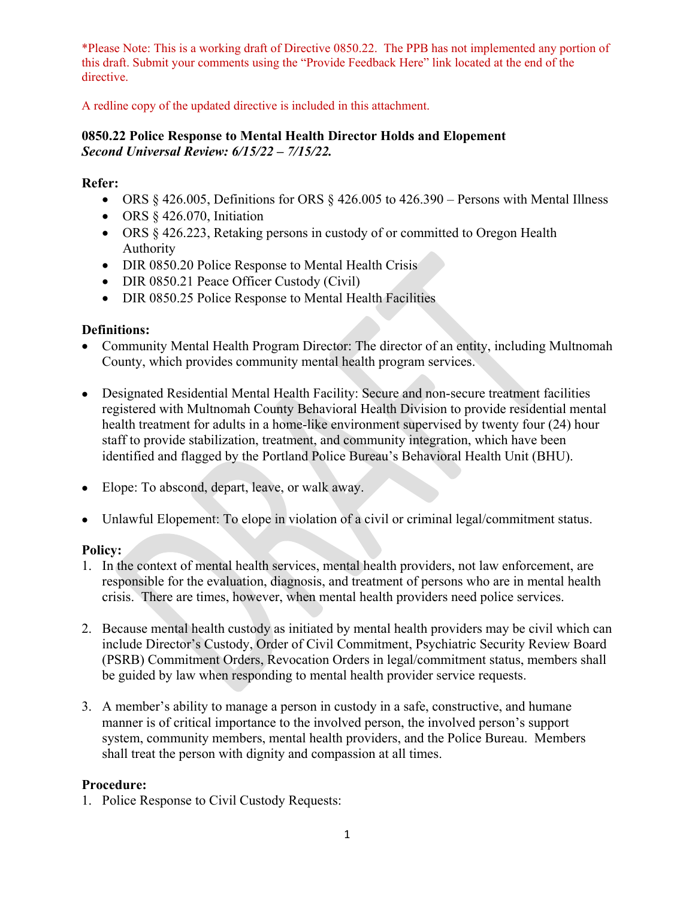A redline copy of the updated directive is included in this attachment.

# **0850.22 Police Response to Mental Health Director Holds and Elopement** *Second Universal Review: 6/15/22 – 7/15/22.*

# **Refer:**

- ORS  $§$  426.005, Definitions for ORS  $§$  426.005 to 426.390 Persons with Mental Illness
- ORS § 426.070, Initiation
- ORS § 426.223, Retaking persons in custody of or committed to Oregon Health Authority
- DIR 0850.20 Police Response to Mental Health Crisis
- DIR 0850.21 Peace Officer Custody (Civil)
- DIR 0850.25 Police Response to Mental Health Facilities

# **Definitions:**

- Community Mental Health Program Director: The director of an entity, including Multnomah County, which provides community mental health program services.
- Designated Residential Mental Health Facility: Secure and non-secure treatment facilities registered with Multnomah County Behavioral Health Division to provide residential mental health treatment for adults in a home-like environment supervised by twenty four (24) hour staff to provide stabilization, treatment, and community integration, which have been identified and flagged by the Portland Police Bureau's Behavioral Health Unit (BHU).
- Elope: To abscond, depart, leave, or walk away.
- Unlawful Elopement: To elope in violation of a civil or criminal legal/commitment status.

# **Policy:**

- 1. In the context of mental health services, mental health providers, not law enforcement, are responsible for the evaluation, diagnosis, and treatment of persons who are in mental health crisis. There are times, however, when mental health providers need police services.
- 2. Because mental health custody as initiated by mental health providers may be civil which can include Director's Custody, Order of Civil Commitment, Psychiatric Security Review Board (PSRB) Commitment Orders, Revocation Orders in legal/commitment status, members shall be guided by law when responding to mental health provider service requests.
- 3. A member's ability to manage a person in custody in a safe, constructive, and humane manner is of critical importance to the involved person, the involved person's support system, community members, mental health providers, and the Police Bureau. Members shall treat the person with dignity and compassion at all times.

# **Procedure:**

1. Police Response to Civil Custody Requests: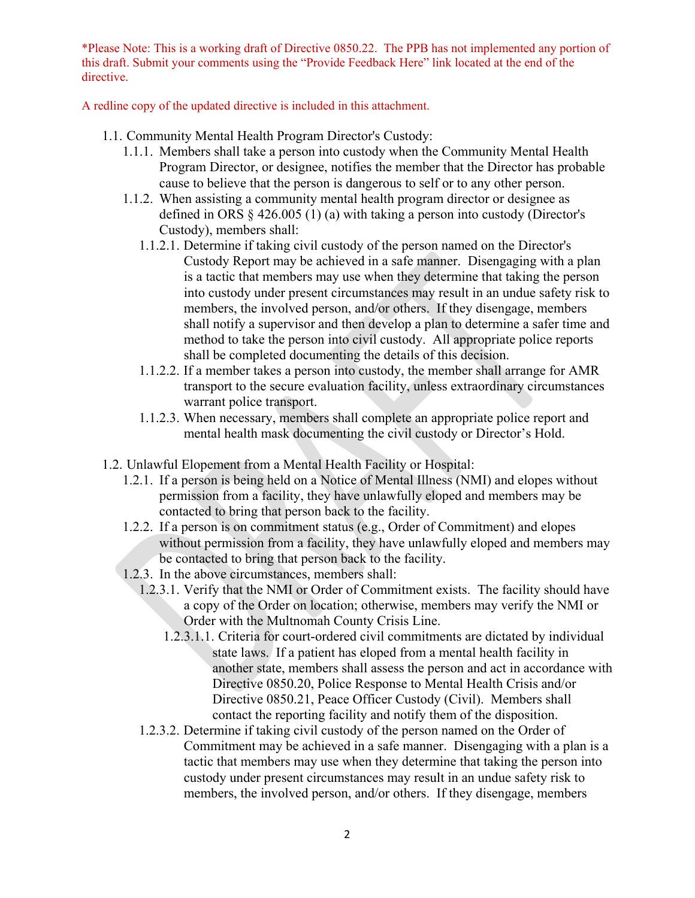A redline copy of the updated directive is included in this attachment.

- 1.1. Community Mental Health Program Director's Custody:
	- 1.1.1. Members shall take a person into custody when the Community Mental Health Program Director, or designee, notifies the member that the Director has probable cause to believe that the person is dangerous to self or to any other person.
	- 1.1.2. When assisting a community mental health program director or designee as defined in ORS § 426.005 (1) (a) with taking a person into custody (Director's Custody), members shall:
		- 1.1.2.1. Determine if taking civil custody of the person named on the Director's Custody Report may be achieved in a safe manner. Disengaging with a plan is a tactic that members may use when they determine that taking the person into custody under present circumstances may result in an undue safety risk to members, the involved person, and/or others. If they disengage, members shall notify a supervisor and then develop a plan to determine a safer time and method to take the person into civil custody. All appropriate police reports shall be completed documenting the details of this decision.
		- 1.1.2.2. If a member takes a person into custody, the member shall arrange for AMR transport to the secure evaluation facility, unless extraordinary circumstances warrant police transport.
		- 1.1.2.3. When necessary, members shall complete an appropriate police report and mental health mask documenting the civil custody or Director's Hold.
- 1.2. Unlawful Elopement from a Mental Health Facility or Hospital:
	- 1.2.1. If a person is being held on a Notice of Mental Illness (NMI) and elopes without permission from a facility, they have unlawfully eloped and members may be contacted to bring that person back to the facility.
	- 1.2.2. If a person is on commitment status (e.g., Order of Commitment) and elopes without permission from a facility, they have unlawfully eloped and members may be contacted to bring that person back to the facility.
	- 1.2.3. In the above circumstances, members shall:
		- 1.2.3.1. Verify that the NMI or Order of Commitment exists. The facility should have a copy of the Order on location; otherwise, members may verify the NMI or Order with the Multnomah County Crisis Line.
			- 1.2.3.1.1. Criteria for court-ordered civil commitments are dictated by individual state laws. If a patient has eloped from a mental health facility in another state, members shall assess the person and act in accordance with Directive 0850.20, Police Response to Mental Health Crisis and/or Directive 0850.21, Peace Officer Custody (Civil). Members shall contact the reporting facility and notify them of the disposition.
		- 1.2.3.2. Determine if taking civil custody of the person named on the Order of Commitment may be achieved in a safe manner. Disengaging with a plan is a tactic that members may use when they determine that taking the person into custody under present circumstances may result in an undue safety risk to members, the involved person, and/or others. If they disengage, members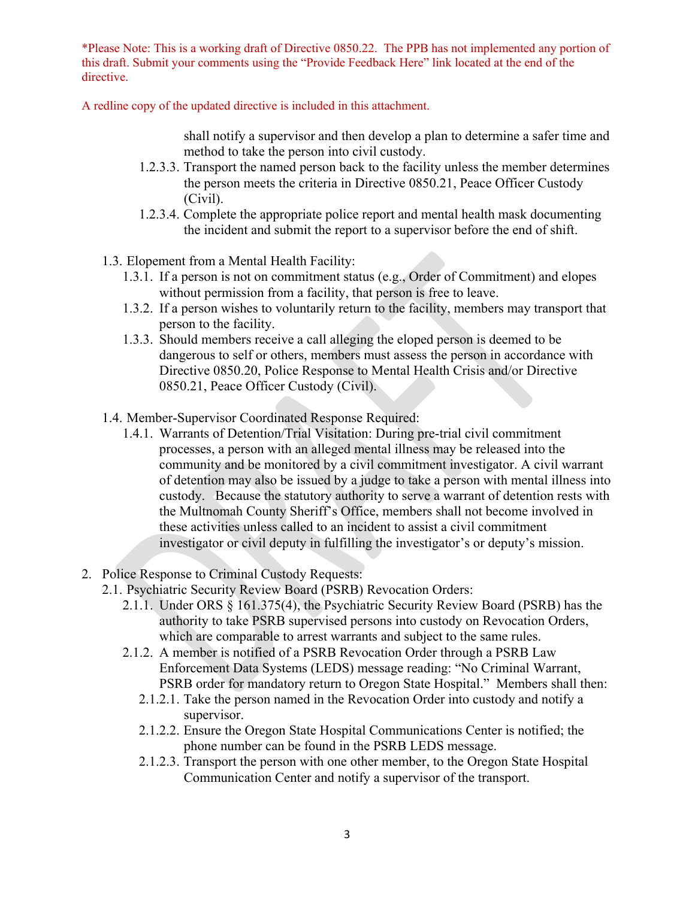A redline copy of the updated directive is included in this attachment.

shall notify a supervisor and then develop a plan to determine a safer time and method to take the person into civil custody.

- 1.2.3.3. Transport the named person back to the facility unless the member determines the person meets the criteria in Directive 0850.21, Peace Officer Custody (Civil).
- 1.2.3.4. Complete the appropriate police report and mental health mask documenting the incident and submit the report to a supervisor before the end of shift.
- 1.3. Elopement from a Mental Health Facility:
	- 1.3.1. If a person is not on commitment status (e.g., Order of Commitment) and elopes without permission from a facility, that person is free to leave.
	- 1.3.2. If a person wishes to voluntarily return to the facility, members may transport that person to the facility.
	- 1.3.3. Should members receive a call alleging the eloped person is deemed to be dangerous to self or others, members must assess the person in accordance with Directive 0850.20, Police Response to Mental Health Crisis and/or Directive 0850.21, Peace Officer Custody (Civil).
- 1.4. Member-Supervisor Coordinated Response Required:
	- 1.4.1. Warrants of Detention/Trial Visitation: During pre-trial civil commitment processes, a person with an alleged mental illness may be released into the community and be monitored by a civil commitment investigator. A civil warrant of detention may also be issued by a judge to take a person with mental illness into custody. Because the statutory authority to serve a warrant of detention rests with the Multnomah County Sheriff's Office, members shall not become involved in these activities unless called to an incident to assist a civil commitment investigator or civil deputy in fulfilling the investigator's or deputy's mission.
- 2. Police Response to Criminal Custody Requests:
	- 2.1. Psychiatric Security Review Board (PSRB) Revocation Orders:
		- 2.1.1. Under ORS § 161.375(4), the Psychiatric Security Review Board (PSRB) has the authority to take PSRB supervised persons into custody on Revocation Orders, which are comparable to arrest warrants and subject to the same rules.
		- 2.1.2. A member is notified of a PSRB Revocation Order through a PSRB Law Enforcement Data Systems (LEDS) message reading: "No Criminal Warrant, PSRB order for mandatory return to Oregon State Hospital." Members shall then:
			- 2.1.2.1. Take the person named in the Revocation Order into custody and notify a supervisor.
			- 2.1.2.2. Ensure the Oregon State Hospital Communications Center is notified; the phone number can be found in the PSRB LEDS message.
			- 2.1.2.3. Transport the person with one other member, to the Oregon State Hospital Communication Center and notify a supervisor of the transport.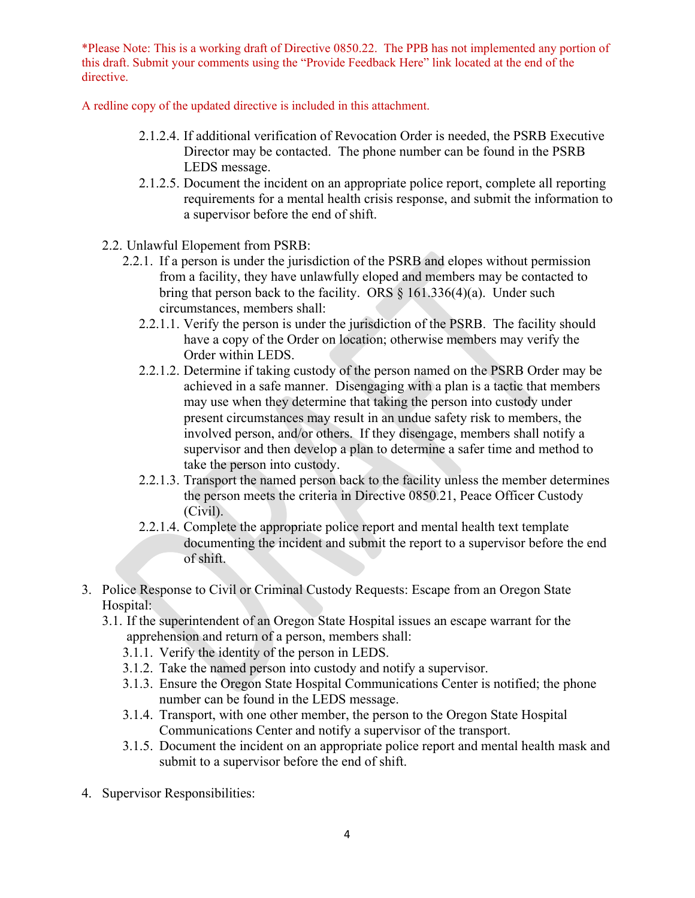A redline copy of the updated directive is included in this attachment.

- 2.1.2.4. If additional verification of Revocation Order is needed, the PSRB Executive Director may be contacted. The phone number can be found in the PSRB LEDS message.
- 2.1.2.5. Document the incident on an appropriate police report, complete all reporting requirements for a mental health crisis response, and submit the information to a supervisor before the end of shift.
- 2.2. Unlawful Elopement from PSRB:
	- 2.2.1. If a person is under the jurisdiction of the PSRB and elopes without permission from a facility, they have unlawfully eloped and members may be contacted to bring that person back to the facility. ORS  $\S$  161.336(4)(a). Under such circumstances, members shall:
		- 2.2.1.1. Verify the person is under the jurisdiction of the PSRB. The facility should have a copy of the Order on location; otherwise members may verify the Order within LEDS.
		- 2.2.1.2. Determine if taking custody of the person named on the PSRB Order may be achieved in a safe manner. Disengaging with a plan is a tactic that members may use when they determine that taking the person into custody under present circumstances may result in an undue safety risk to members, the involved person, and/or others. If they disengage, members shall notify a supervisor and then develop a plan to determine a safer time and method to take the person into custody.
		- 2.2.1.3. Transport the named person back to the facility unless the member determines the person meets the criteria in Directive 0850.21, Peace Officer Custody (Civil).
		- 2.2.1.4. Complete the appropriate police report and mental health text template documenting the incident and submit the report to a supervisor before the end of shift.
- 3. Police Response to Civil or Criminal Custody Requests: Escape from an Oregon State Hospital:
	- 3.1. If the superintendent of an Oregon State Hospital issues an escape warrant for the apprehension and return of a person, members shall:
		- 3.1.1. Verify the identity of the person in LEDS.
		- 3.1.2. Take the named person into custody and notify a supervisor.
		- 3.1.3. Ensure the Oregon State Hospital Communications Center is notified; the phone number can be found in the LEDS message.
		- 3.1.4. Transport, with one other member, the person to the Oregon State Hospital Communications Center and notify a supervisor of the transport.
		- 3.1.5. Document the incident on an appropriate police report and mental health mask and submit to a supervisor before the end of shift.
- 4. Supervisor Responsibilities: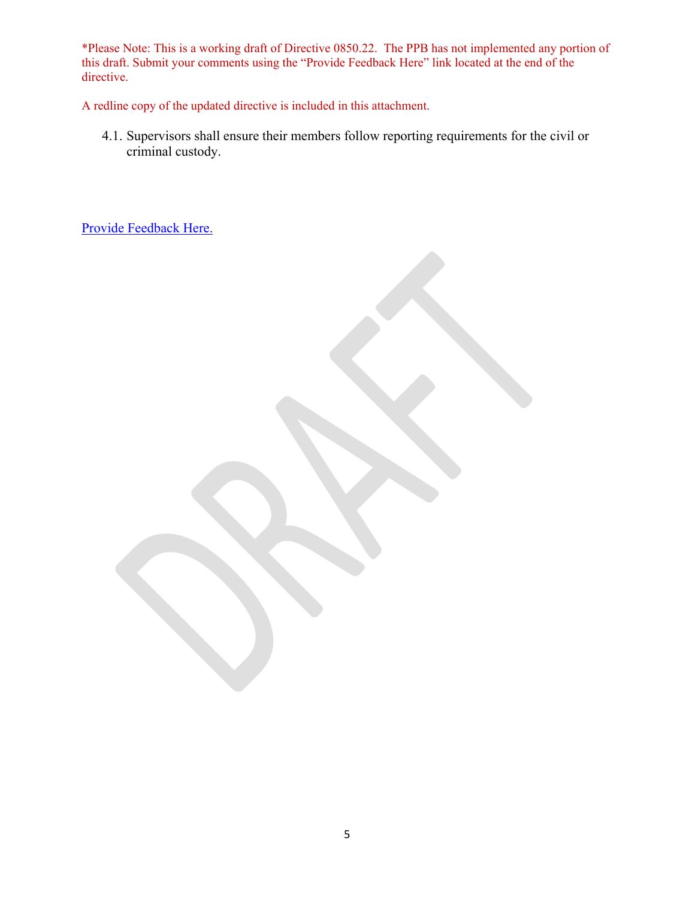A redline copy of the updated directive is included in this attachment.

4.1. Supervisors shall ensure their members follow reporting requirements for the civil or criminal custody.

[Provide Feedback Here.](https://www.surveymonkey.com/r/2GGKJG6)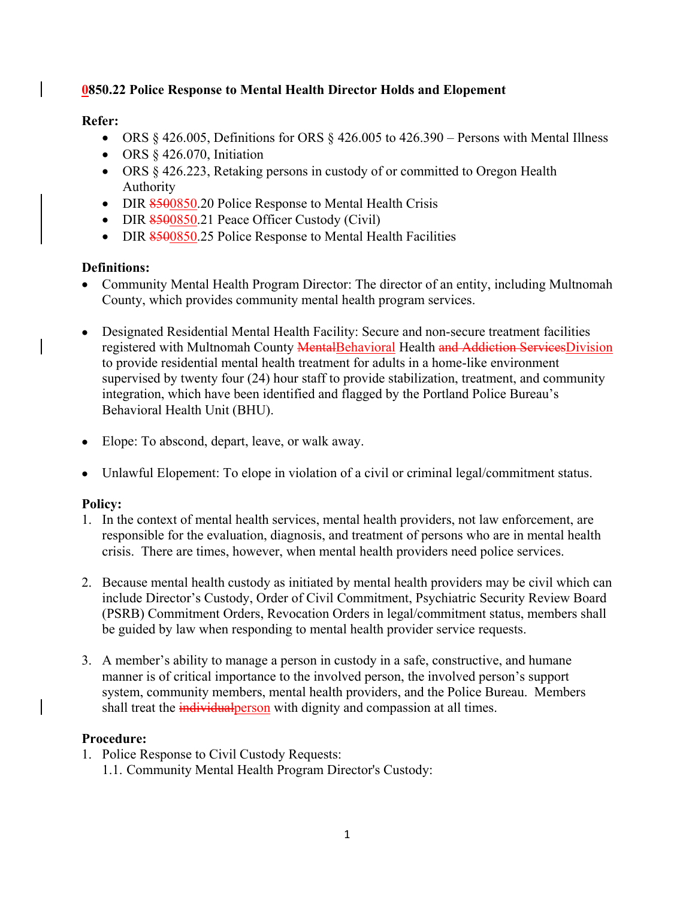# **0850.22 Police Response to Mental Health Director Holds and Elopement**

# **Refer:**

- ORS  $\S$  426.005, Definitions for ORS  $\S$  426.005 to 426.390 Persons with Mental Illness
- ORS § 426.070, Initiation
- ORS § 426.223, Retaking persons in custody of or committed to Oregon Health Authority
- DIR 8500850.20 Police Response to Mental Health Crisis
- DIR  $8500850.21$  Peace Officer Custody (Civil)
- DIR 8500850.25 Police Response to Mental Health Facilities

# **Definitions:**

- Community Mental Health Program Director: The director of an entity, including Multnomah County, which provides community mental health program services.
- Designated Residential Mental Health Facility: Secure and non-secure treatment facilities registered with Multnomah County MentalBehavioral Health and Addiction ServicesDivision to provide residential mental health treatment for adults in a home-like environment supervised by twenty four (24) hour staff to provide stabilization, treatment, and community integration, which have been identified and flagged by the Portland Police Bureau's Behavioral Health Unit (BHU).
- Elope: To abscond, depart, leave, or walk away.
- Unlawful Elopement: To elope in violation of a civil or criminal legal/commitment status.

# **Policy:**

- 1. In the context of mental health services, mental health providers, not law enforcement, are responsible for the evaluation, diagnosis, and treatment of persons who are in mental health crisis. There are times, however, when mental health providers need police services.
- 2. Because mental health custody as initiated by mental health providers may be civil which can include Director's Custody, Order of Civil Commitment, Psychiatric Security Review Board (PSRB) Commitment Orders, Revocation Orders in legal/commitment status, members shall be guided by law when responding to mental health provider service requests.
- 3. A member's ability to manage a person in custody in a safe, constructive, and humane manner is of critical importance to the involved person, the involved person's support system, community members, mental health providers, and the Police Bureau. Members shall treat the *individualperson* with dignity and compassion at all times.

# **Procedure:**

1. Police Response to Civil Custody Requests: 1.1. Community Mental Health Program Director's Custody: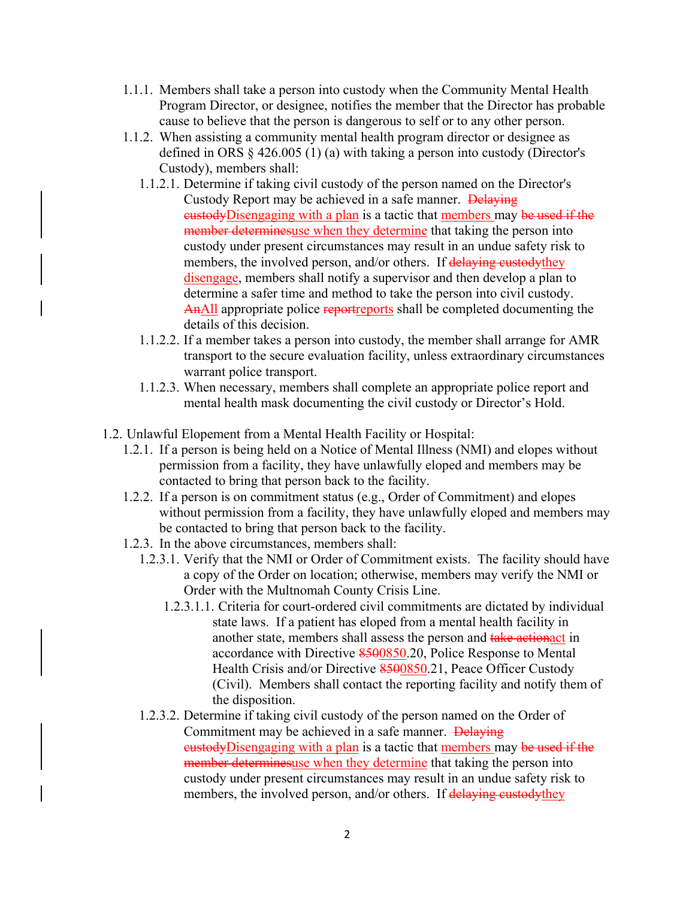- 1.1.1. Members shall take a person into custody when the Community Mental Health Program Director, or designee, notifies the member that the Director has probable cause to believe that the person is dangerous to self or to any other person.
- 1.1.2. When assisting a community mental health program director or designee as defined in ORS § 426.005 (1) (a) with taking a person into custody (Director's Custody), members shall:
	- 1.1.2.1. Determine if taking civil custody of the person named on the Director's Custody Report may be achieved in a safe manner. Delaying eustodyDisengaging with a plan is a tactic that members may be used if the member determinesuse when they determine that taking the person into custody under present circumstances may result in an undue safety risk to members, the involved person, and/or others. If delaying custody they disengage, members shall notify a supervisor and then develop a plan to determine a safer time and method to take the person into civil custody. AnAll appropriate police reportreports shall be completed documenting the details of this decision.
	- 1.1.2.2. If a member takes a person into custody, the member shall arrange for AMR transport to the secure evaluation facility, unless extraordinary circumstances warrant police transport.
	- 1.1.2.3. When necessary, members shall complete an appropriate police report and mental health mask documenting the civil custody or Director's Hold.
- 1.2. Unlawful Elopement from a Mental Health Facility or Hospital:
	- 1.2.1. If a person is being held on a Notice of Mental Illness (NMI) and elopes without permission from a facility, they have unlawfully eloped and members may be contacted to bring that person back to the facility.
	- 1.2.2. If a person is on commitment status (e.g., Order of Commitment) and elopes without permission from a facility, they have unlawfully eloped and members may be contacted to bring that person back to the facility.
	- 1.2.3. In the above circumstances, members shall:
		- 1.2.3.1. Verify that the NMI or Order of Commitment exists. The facility should have a copy of the Order on location; otherwise, members may verify the NMI or Order with the Multnomah County Crisis Line.
			- 1.2.3.1.1. Criteria for court-ordered civil commitments are dictated by individual state laws. If a patient has eloped from a mental health facility in another state, members shall assess the person and take actionact in accordance with Directive 8500850.20, Police Response to Mental Health Crisis and/or Directive 8500850.21, Peace Officer Custody (Civil). Members shall contact the reporting facility and notify them of the disposition.
		- 1.2.3.2. Determine if taking civil custody of the person named on the Order of Commitment may be achieved in a safe manner. Delaying eustodyDisengaging with a plan is a tactic that members may be used if the member determinesuse when they determine that taking the person into custody under present circumstances may result in an undue safety risk to members, the involved person, and/or others. If delaying custody they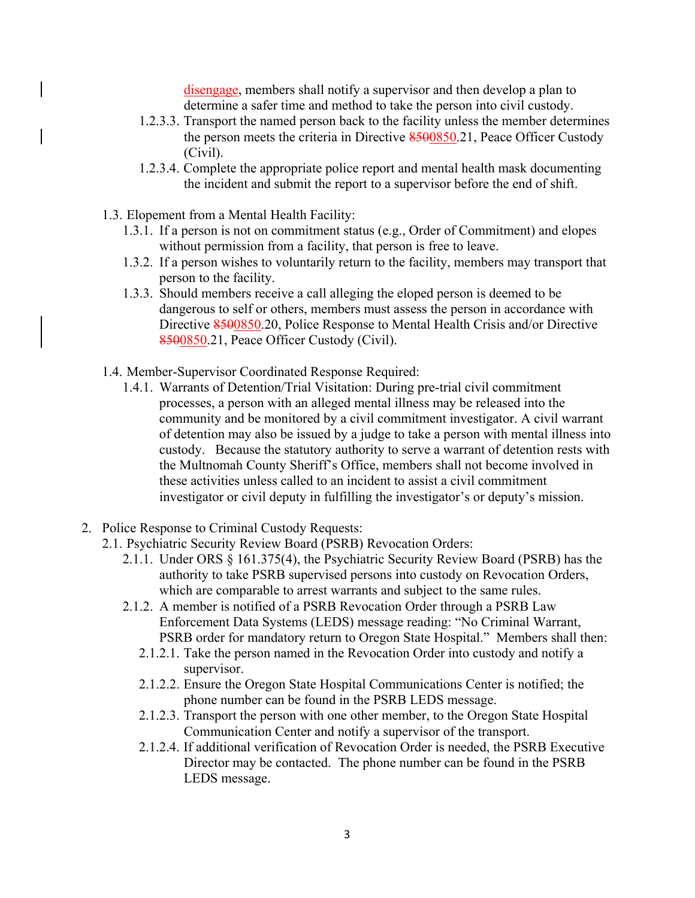disengage, members shall notify a supervisor and then develop a plan to determine a safer time and method to take the person into civil custody.

- 1.2.3.3. Transport the named person back to the facility unless the member determines the person meets the criteria in Directive 8500850.21, Peace Officer Custody (Civil).
- 1.2.3.4. Complete the appropriate police report and mental health mask documenting the incident and submit the report to a supervisor before the end of shift.
- 1.3. Elopement from a Mental Health Facility:
	- 1.3.1. If a person is not on commitment status (e.g., Order of Commitment) and elopes without permission from a facility, that person is free to leave.
	- 1.3.2. If a person wishes to voluntarily return to the facility, members may transport that person to the facility.
	- 1.3.3. Should members receive a call alleging the eloped person is deemed to be dangerous to self or others, members must assess the person in accordance with Directive 8500850.20, Police Response to Mental Health Crisis and/or Directive 8500850.21, Peace Officer Custody (Civil).
- 1.4. Member-Supervisor Coordinated Response Required:
	- 1.4.1. Warrants of Detention/Trial Visitation: During pre-trial civil commitment processes, a person with an alleged mental illness may be released into the community and be monitored by a civil commitment investigator. A civil warrant of detention may also be issued by a judge to take a person with mental illness into custody. Because the statutory authority to serve a warrant of detention rests with the Multnomah County Sheriff's Office, members shall not become involved in these activities unless called to an incident to assist a civil commitment investigator or civil deputy in fulfilling the investigator's or deputy's mission.
- 2. Police Response to Criminal Custody Requests:
	- 2.1. Psychiatric Security Review Board (PSRB) Revocation Orders:
		- 2.1.1. Under ORS § 161.375(4), the Psychiatric Security Review Board (PSRB) has the authority to take PSRB supervised persons into custody on Revocation Orders, which are comparable to arrest warrants and subject to the same rules.
		- 2.1.2. A member is notified of a PSRB Revocation Order through a PSRB Law Enforcement Data Systems (LEDS) message reading: "No Criminal Warrant, PSRB order for mandatory return to Oregon State Hospital." Members shall then:
			- 2.1.2.1. Take the person named in the Revocation Order into custody and notify a supervisor.
			- 2.1.2.2. Ensure the Oregon State Hospital Communications Center is notified; the phone number can be found in the PSRB LEDS message.
			- 2.1.2.3. Transport the person with one other member, to the Oregon State Hospital Communication Center and notify a supervisor of the transport.
			- 2.1.2.4. If additional verification of Revocation Order is needed, the PSRB Executive Director may be contacted. The phone number can be found in the PSRB LEDS message.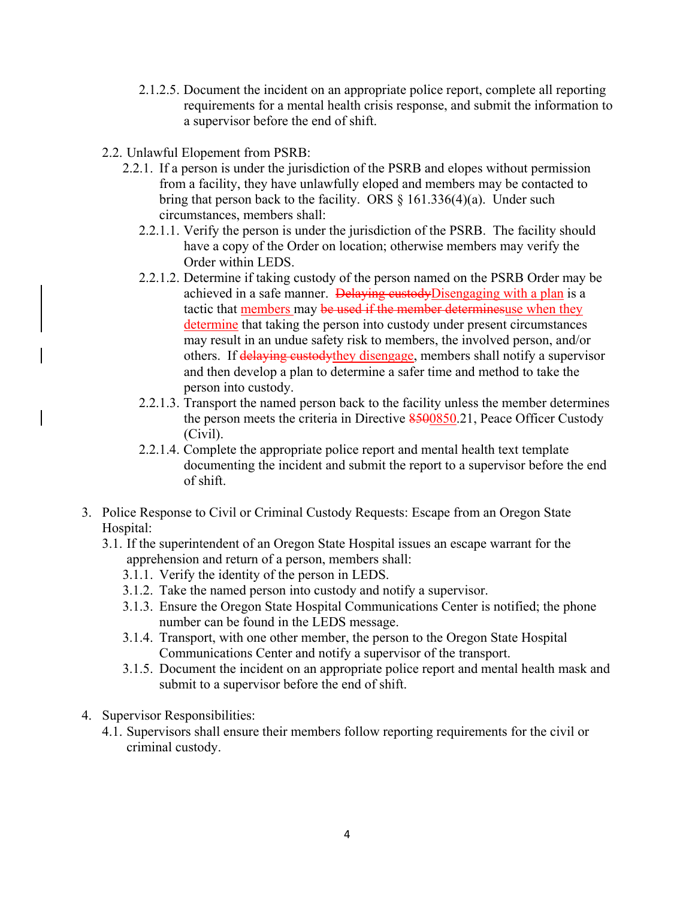- 2.1.2.5. Document the incident on an appropriate police report, complete all reporting requirements for a mental health crisis response, and submit the information to a supervisor before the end of shift.
- 2.2. Unlawful Elopement from PSRB:
	- 2.2.1. If a person is under the jurisdiction of the PSRB and elopes without permission from a facility, they have unlawfully eloped and members may be contacted to bring that person back to the facility. ORS  $\S$  161.336(4)(a). Under such circumstances, members shall:
		- 2.2.1.1. Verify the person is under the jurisdiction of the PSRB. The facility should have a copy of the Order on location; otherwise members may verify the Order within LEDS.
		- 2.2.1.2. Determine if taking custody of the person named on the PSRB Order may be achieved in a safe manner. Delaying custodyDisengaging with a plan is a tactic that members may be used if the member determinesuse when they determine that taking the person into custody under present circumstances may result in an undue safety risk to members, the involved person, and/or others. If delaying custodythey disengage, members shall notify a supervisor and then develop a plan to determine a safer time and method to take the person into custody.
		- 2.2.1.3. Transport the named person back to the facility unless the member determines the person meets the criteria in Directive 8500850.21, Peace Officer Custody (Civil).
		- 2.2.1.4. Complete the appropriate police report and mental health text template documenting the incident and submit the report to a supervisor before the end of shift.
- 3. Police Response to Civil or Criminal Custody Requests: Escape from an Oregon State Hospital:
	- 3.1. If the superintendent of an Oregon State Hospital issues an escape warrant for the apprehension and return of a person, members shall:
		- 3.1.1. Verify the identity of the person in LEDS.
		- 3.1.2. Take the named person into custody and notify a supervisor.
		- 3.1.3. Ensure the Oregon State Hospital Communications Center is notified; the phone number can be found in the LEDS message.
		- 3.1.4. Transport, with one other member, the person to the Oregon State Hospital Communications Center and notify a supervisor of the transport.
		- 3.1.5. Document the incident on an appropriate police report and mental health mask and submit to a supervisor before the end of shift.
- 4. Supervisor Responsibilities:
	- 4.1. Supervisors shall ensure their members follow reporting requirements for the civil or criminal custody.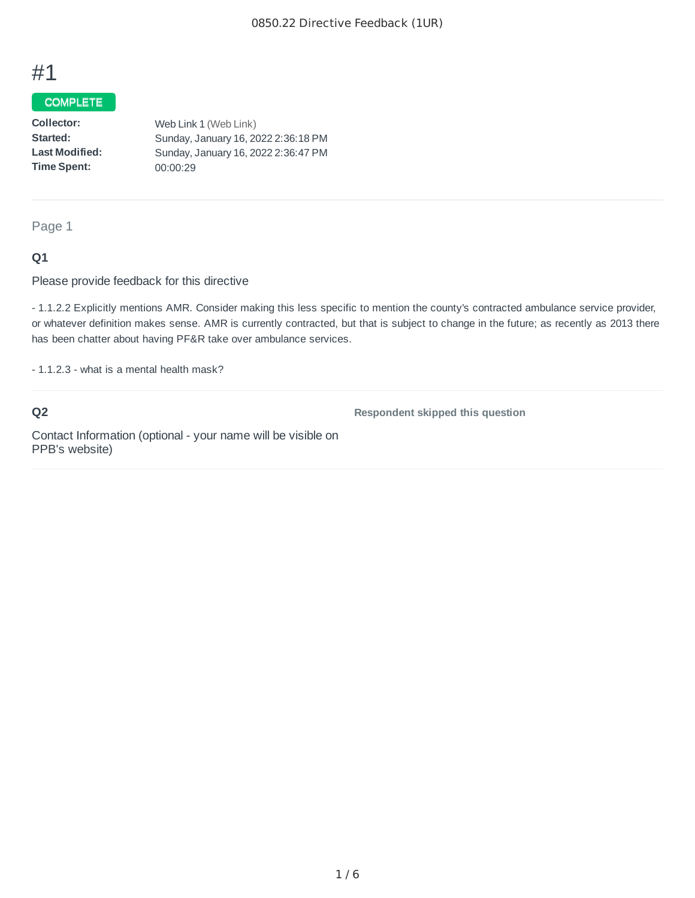# #1

### COMPLETE

**Collector:: Started: : Last Modified:: Time Spent::**  Web Link 1 (Web Link) Sunday, January 16, 2022 2:36:18 PM Sunday, January 16, 2022 2:36:47 PM 00:00:29

Page 1

### **Q1**

Please provide feedback for this directive

- 1.1.2.2 Explicitly mentions AMR. Consider making this less specific to mention the county's contracted ambulance service provider, or whatever definition makes sense. AMR is currently contracted, but that is subject to change in the future; as recently as 2013 there has been chatter about having PF&R take over ambulance services.

- 1.1.2.3 - what is a mental health mask?

# **Q2**

**Respondent skipped this question**

Contact Information (optional - your name will be visible on PPB's website)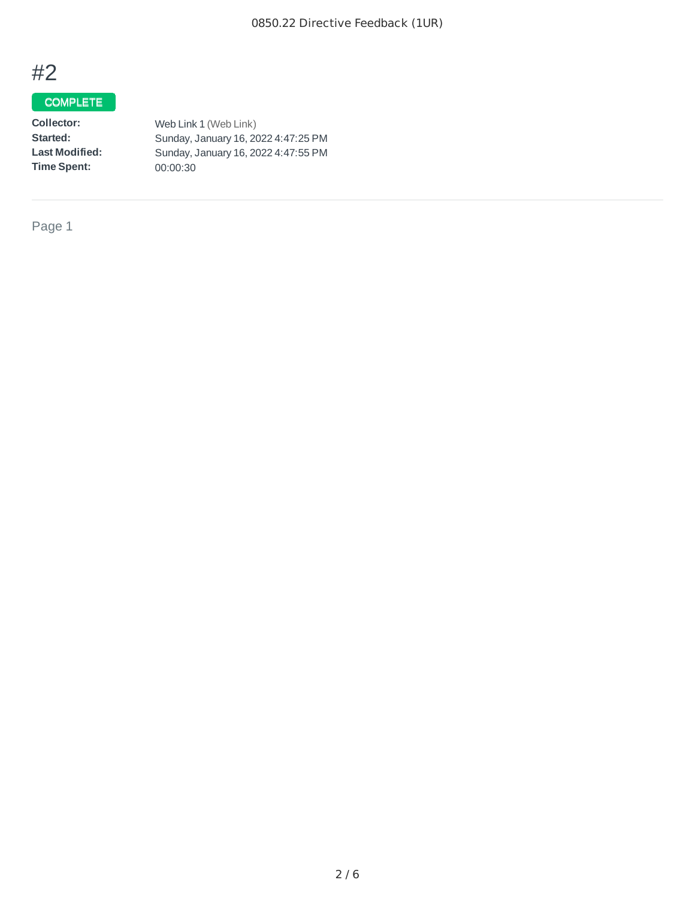# #2

# **COMPLETE**

| Web Link 1 (Web Link)               |
|-------------------------------------|
| Sunday, January 16, 2022 4:47:25 PM |
| Sunday, January 16, 2022 4:47:55 PM |
| 00:00:30                            |
|                                     |

Page 1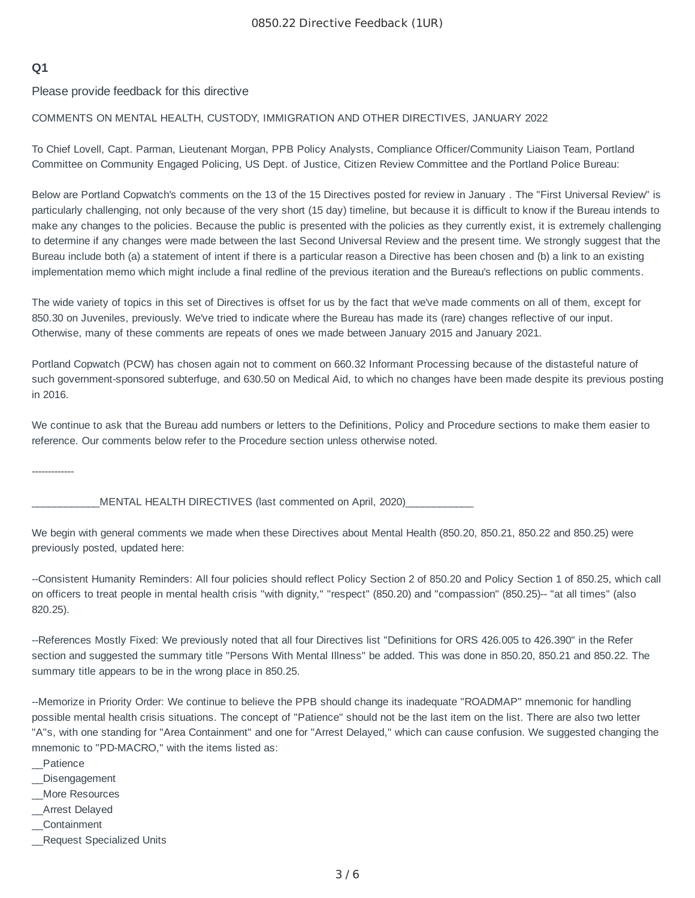## **Q1**

Please provide feedback for this directive

### COMMENTS ON MENTAL HEALTH, CUSTODY, IMMIGRATION AND OTHER DIRECTIVES, JANUARY 2022

To Chief Lovell, Capt. Parman, Lieutenant Morgan, PPB Policy Analysts, Compliance Officer/Community Liaison Team, Portland Committee on Community Engaged Policing, US Dept. of Justice, Citizen Review Committee and the Portland Police Bureau:

Below are Portland Copwatch's comments on the 13 of the 15 Directives posted for review in January . The "First Universal Review" is particularly challenging, not only because of the very short (15 day) timeline, but because it is difficult to know if the Bureau intends to make any changes to the policies. Because the public is presented with the policies as they currently exist, it is extremely challenging to determine if any changes were made between the last Second Universal Review and the present time. We strongly suggest that the Bureau include both (a) a statement of intent if there is a particular reason a Directive has been chosen and (b) a link to an existing implementation memo which might include a final redline of the previous iteration and the Bureau's reflections on public comments.

The wide variety of topics in this set of Directives is offset for us by the fact that we've made comments on all of them, except for 850.30 on Juveniles, previously. We've tried to indicate where the Bureau has made its (rare) changes reflective of our input. Otherwise, many of these comments are repeats of ones we made between January 2015 and January 2021.

Portland Copwatch (PCW) has chosen again not to comment on 660.32 Informant Processing because of the distasteful nature of such government-sponsored subterfuge, and 630.50 on Medical Aid, to which no changes have been made despite its previous posting in 2016.

We continue to ask that the Bureau add numbers or letters to the Definitions, Policy and Procedure sections to make them easier to reference. Our comments below refer to the Procedure section unless otherwise noted.

-------------

MENTAL HEALTH DIRECTIVES (last commented on April, 2020)

We begin with general comments we made when these Directives about Mental Health (850.20, 850.21, 850.22 and 850.25) were previously posted, updated here:

--Consistent Humanity Reminders: All four policies should reflect Policy Section 2 of 850.20 and Policy Section 1 of 850.25, which call on officers to treat people in mental health crisis "with dignity," "respect" (850.20) and "compassion" (850.25)-- "at all times" (also 820.25).

--References Mostly Fixed: We previously noted that all four Directives list "Definitions for ORS 426.005 to 426.390" in the Refer section and suggested the summary title "Persons With Mental Illness" be added. This was done in 850.20, 850.21 and 850.22. The summary title appears to be in the wrong place in 850.25.

--Memorize in Priority Order: We continue to believe the PPB should change its inadequate "ROADMAP" mnemonic for handling possible mental health crisis situations. The concept of "Patience" should not be the last item on the list. There are also two letter "A"s, with one standing for "Area Containment" and one for "Arrest Delayed," which can cause confusion. We suggested changing the mnemonic to "PD-MACRO," with the items listed as:

- \_\_Patience
- \_\_Disengagement
- \_\_More Resources
- \_\_Arrest Delayed
- \_\_Containment
- \_\_Request Specialized Units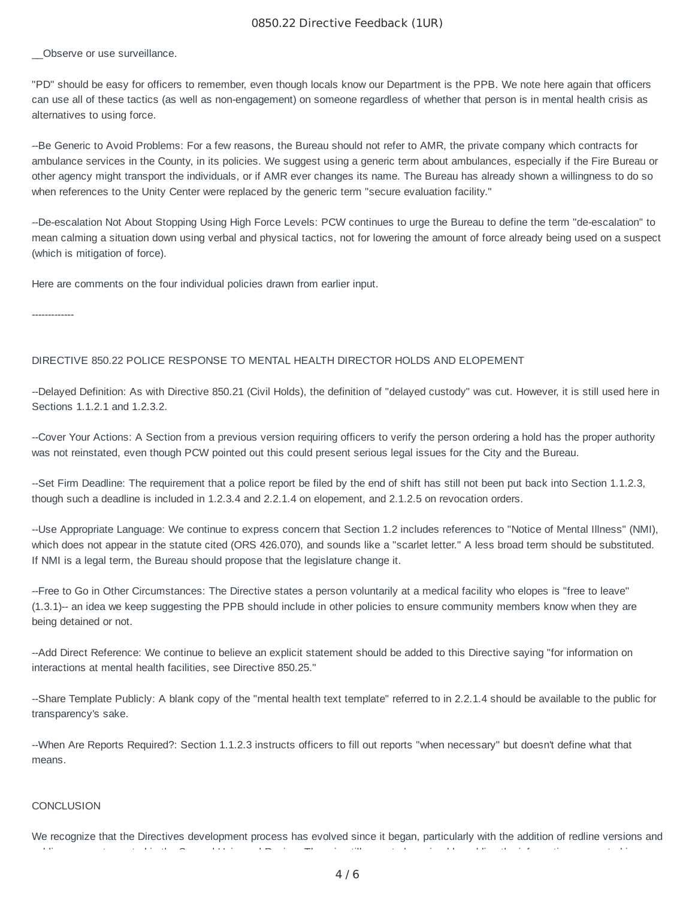### 0850.22 Directive Feedback (1UR)

Observe or use surveillance.

"PD" should be easy for officers to remember, even though locals know our Department is the PPB. We note here again that officers can use all of these tactics (as well as non-engagement) on someone regardless of whether that person is in mental health crisis as alternatives to using force.

--Be Generic to Avoid Problems: For a few reasons, the Bureau should not refer to AMR, the private company which contracts for ambulance services in the County, in its policies. We suggest using a generic term about ambulances, especially if the Fire Bureau or other agency might transport the individuals, or if AMR ever changes its name. The Bureau has already shown a willingness to do so when references to the Unity Center were replaced by the generic term "secure evaluation facility."

--De-escalation Not About Stopping Using High Force Levels: PCW continues to urge the Bureau to define the term "de-escalation" to mean calming a situation down using verbal and physical tactics, not for lowering the amount of force already being used on a suspect (which is mitigation of force).

Here are comments on the four individual policies drawn from earlier input.

-------------

### DIRECTIVE 850.22 POLICE RESPONSE TO MENTAL HEALTH DIRECTOR HOLDS AND ELOPEMENT

--Delayed Definition: As with Directive 850.21 (Civil Holds), the definition of "delayed custody" was cut. However, it is still used here in Sections 1.1.2.1 and 1.2.3.2.

--Cover Your Actions: A Section from a previous version requiring officers to verify the person ordering a hold has the proper authority was not reinstated, even though PCW pointed out this could present serious legal issues for the City and the Bureau.

--Set Firm Deadline: The requirement that a police report be filed by the end of shift has still not been put back into Section 1.1.2.3, though such a deadline is included in 1.2.3.4 and 2.2.1.4 on elopement, and 2.1.2.5 on revocation orders.

--Use Appropriate Language: We continue to express concern that Section 1.2 includes references to "Notice of Mental Illness" (NMI), which does not appear in the statute cited (ORS 426.070), and sounds like a "scarlet letter." A less broad term should be substituted. If NMI is a legal term, the Bureau should propose that the legislature change it.

--Free to Go in Other Circumstances: The Directive states a person voluntarily at a medical facility who elopes is "free to leave" (1.3.1)-- an idea we keep suggesting the PPB should include in other policies to ensure community members know when they are being detained or not.

--Add Direct Reference: We continue to believe an explicit statement should be added to this Directive saying "for information on interactions at mental health facilities, see Directive 850.25."

--Share Template Publicly: A blank copy of the "mental health text template" referred to in 2.2.1.4 should be available to the public for transparency's sake.

--When Are Reports Required?: Section 1.1.2.3 instructs officers to fill out reports "when necessary" but doesn't define what that means.

#### **CONCLUSION**

We recognize that the Directives development process has evolved since it began, particularly with the addition of redline versions and bli t t d i th S d U i l R i Th i till t b i d b ddi th i f ti t d i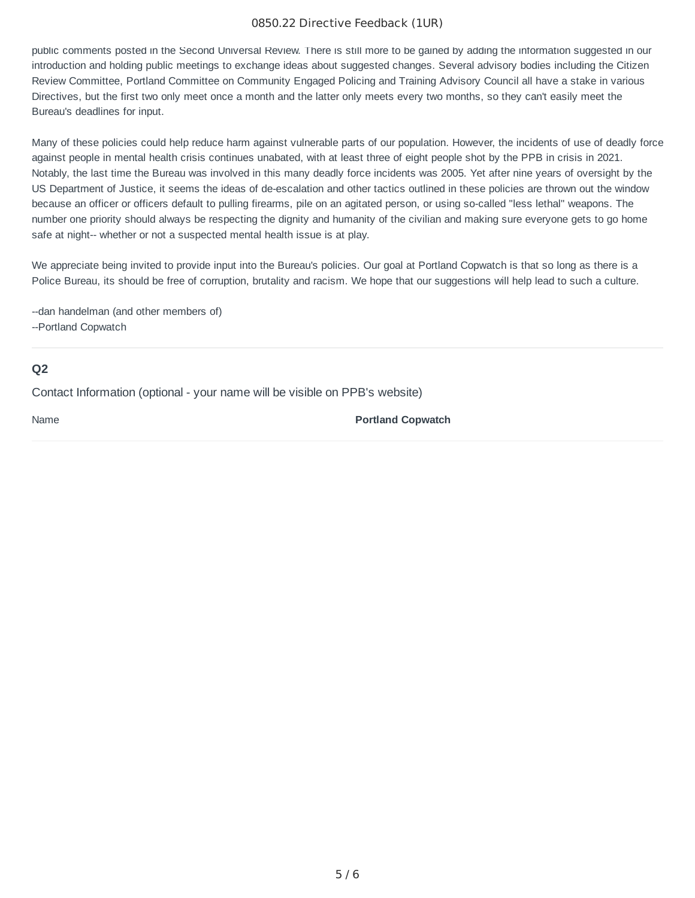### 0850.22 Directive Feedback (1UR)

public comments posted in the Second Universal Review. There is still more to be gained by adding the information suggested in our introduction and holding public meetings to exchange ideas about suggested changes. Several advisory bodies including the Citizen Review Committee, Portland Committee on Community Engaged Policing and Training Advisory Council all have a stake in various Directives, but the first two only meet once a month and the latter only meets every two months, so they can't easily meet the Bureau's deadlines for input.

Many of these policies could help reduce harm against vulnerable parts of our population. However, the incidents of use of deadly force against people in mental health crisis continues unabated, with at least three of eight people shot by the PPB in crisis in 2021. Notably, the last time the Bureau was involved in this many deadly force incidents was 2005. Yet after nine years of oversight by the US Department of Justice, it seems the ideas of de-escalation and other tactics outlined in these policies are thrown out the window because an officer or officers default to pulling firearms, pile on an agitated person, or using so-called "less lethal" weapons. The number one priority should always be respecting the dignity and humanity of the civilian and making sure everyone gets to go home safe at night-- whether or not a suspected mental health issue is at play.

We appreciate being invited to provide input into the Bureau's policies. Our goal at Portland Copwatch is that so long as there is a Police Bureau, its should be free of corruption, brutality and racism. We hope that our suggestions will help lead to such a culture.

--dan handelman (and other members of)

--Portland Copwatch

## **Q2**

Contact Information (optional - your name will be visible on PPB's website)

Name **Portland Copwatch**